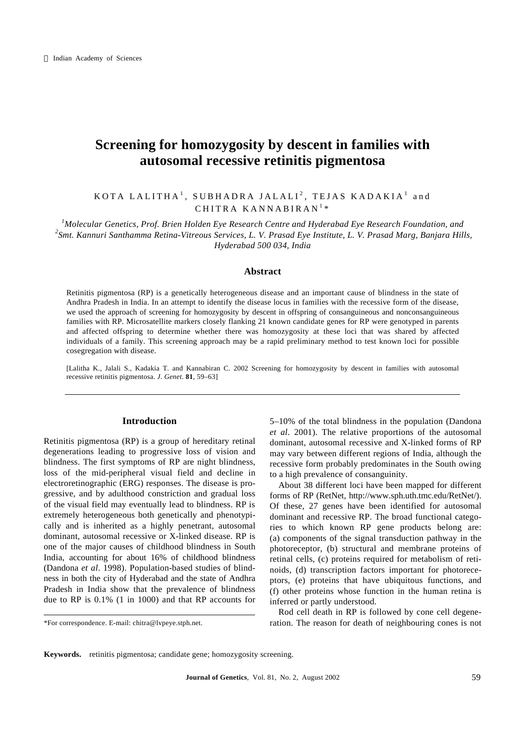# **Screening for homozygosity by descent in families with autosomal recessive retinitis pigmentosa**

# $\verb|KOTA| LALITHA^1, \>\> \verb|SUBHADRA| JALLI^2, \>\> \verb|TEJAS| KADAKIA^1, \>\> \verb|and|$ CHITRA KANNABIRAN<sup>1</sup>\*

*<sup>1</sup>Molecular Genetics, Prof. Brien Holden Eye Research Centre and Hyderabad Eye Research Foundation, and 2 Smt. Kannuri Santhamma Retina-Vitreous Services, L. V. Prasad Eye Institute, L. V. Prasad Marg, Banjara Hills, Hyderabad 500 034, India*

### **Abstract**

Retinitis pigmentosa (RP) is a genetically heterogeneous disease and an important cause of blindness in the state of Andhra Pradesh in India. In an attempt to identify the disease locus in families with the recessive form of the disease, we used the approach of screening for homozygosity by descent in offspring of consanguineous and nonconsanguineous families with RP. Microsatellite markers closely flanking 21 known candidate genes for RP were genotyped in parents and affected offspring to determine whether there was homozygosity at these loci that was shared by affected individuals of a family. This screening approach may be a rapid preliminary method to test known loci for possible cosegregation with disease.

[Lalitha K., Jalali S., Kadakia T. and Kannabiran C. 2002 Screening for homozygosity by descent in families with autosomal recessive retinitis pigmentosa. *J*. *Genet*. **81**, 59–63]

# **Introduction**

Retinitis pigmentosa (RP) is a group of hereditary retinal degenerations leading to progressive loss of vision and blindness. The first symptoms of RP are night blindness, loss of the mid-peripheral visual field and decline in electroretinographic (ERG) responses. The disease is progressive, and by adulthood constriction and gradual loss of the visual field may eventually lead to blindness. RP is extremely heterogeneous both genetically and phenotypically and is inherited as a highly penetrant, autosomal dominant, autosomal recessive or X-linked disease. RP is one of the major causes of childhood blindness in South India, accounting for about 16% of childhood blindness (Dandona *et al*. 1998). Population-based studies of blindness in both the city of Hyderabad and the state of Andhra Pradesh in India show that the prevalence of blindness due to RP is 0.1% (1 in 1000) and that RP accounts for

\*For correspondence. E-mail: chitra@lvpeye.stph.net.

5–10% of the total blindness in the population (Dandona *et al*. 2001). The relative proportions of the autosomal dominant, autosomal recessive and X-linked forms of RP may vary between different regions of India, although the recessive form probably predominates in the South owing to a high prevalence of consanguinity.

About 38 different loci have been mapped for different forms of RP (RetNet, http://www.sph.uth.tmc.edu/RetNet/). Of these, 27 genes have been identified for autosomal dominant and recessive RP. The broad functional categories to which known RP gene products belong are: (a) components of the signal transduction pathway in the photoreceptor, (b) structural and membrane proteins of retinal cells, (c) proteins required for metabolism of retinoids, (d) transcription factors important for photoreceptors, (e) proteins that have ubiquitous functions, and (f) other proteins whose function in the human retina is inferred or partly understood.

Rod cell death in RP is followed by cone cell degeneration. The reason for death of neighbouring cones is not

**Keywords.** retinitis pigmentosa; candidate gene; homozygosity screening.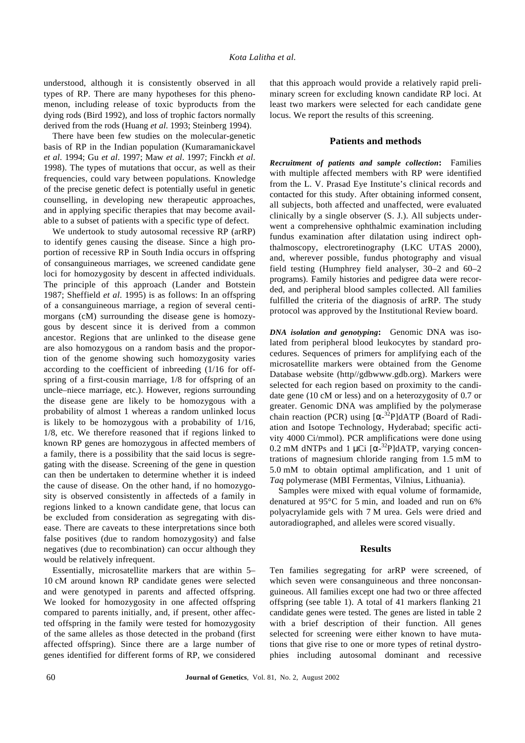understood, although it is consistently observed in all types of RP. There are many hypotheses for this phenomenon, including release of toxic byproducts from the dying rods (Bird 1992), and loss of trophic factors normally derived from the rods (Huang *et al*. 1993; Steinberg 1994).

There have been few studies on the molecular-genetic basis of RP in the Indian population (Kumaramanickavel *et al*. 1994; Gu *et al*. 1997; Maw *et al*. 1997; Finckh *et al*. 1998). The types of mutations that occur, as well as their frequencies, could vary between populations. Knowledge of the precise genetic defect is potentially useful in genetic counselling, in developing new therapeutic approaches, and in applying specific therapies that may become available to a subset of patients with a specific type of defect.

We undertook to study autosomal recessive RP (arRP) to identify genes causing the disease. Since a high proportion of recessive RP in South India occurs in offspring of consanguineous marriages, we screened candidate gene loci for homozygosity by descent in affected individuals. The principle of this approach (Lander and Botstein 1987; Sheffield *et al*. 1995) is as follows: In an offspring of a consanguineous marriage, a region of several centimorgans (cM) surrounding the disease gene is homozygous by descent since it is derived from a common ancestor. Regions that are unlinked to the disease gene are also homozygous on a random basis and the proportion of the genome showing such homozygosity varies according to the coefficient of inbreeding (1/16 for offspring of a first-cousin marriage, 1/8 for offspring of an uncle–niece marriage, etc.). However, regions surrounding the disease gene are likely to be homozygous with a probability of almost 1 whereas a random unlinked locus is likely to be homozygous with a probability of 1/16, 1/8, etc. We therefore reasoned that if regions linked to known RP genes are homozygous in affected members of a family, there is a possibility that the said locus is segregating with the disease. Screening of the gene in question can then be undertaken to determine whether it is indeed the cause of disease. On the other hand, if no homozygosity is observed consistently in affecteds of a family in regions linked to a known candidate gene, that locus can be excluded from consideration as segregating with disease. There are caveats to these interpretations since both false positives (due to random homozygosity) and false negatives (due to recombination) can occur although they would be relatively infrequent.

Essentially, microsatellite markers that are within 5– 10 cM around known RP candidate genes were selected and were genotyped in parents and affected offspring. We looked for homozygosity in one affected offspring compared to parents initially, and, if present, other affected offspring in the family were tested for homozygosity of the same alleles as those detected in the proband (first affected offspring). Since there are a large number of genes identified for different forms of RP, we considered

that this approach would provide a relatively rapid preliminary screen for excluding known candidate RP loci. At least two markers were selected for each candidate gene locus. We report the results of this screening.

# **Patients and methods**

*Recruitment of patients and sample collection***:** Families with multiple affected members with RP were identified from the L. V. Prasad Eye Institute's clinical records and contacted for this study. After obtaining informed consent, all subjects, both affected and unaffected, were evaluated clinically by a single observer (S. J.). All subjects underwent a comprehensive ophthalmic examination including fundus examination after dilatation using indirect ophthalmoscopy, electroretinography (LKC UTAS 2000), and, wherever possible, fundus photography and visual field testing (Humphrey field analyser, 30–2 and 60–2 programs). Family histories and pedigree data were recorded, and peripheral blood samples collected. All families fulfilled the criteria of the diagnosis of arRP. The study protocol was approved by the Institutional Review board.

*DNA isolation and genotyping***:** Genomic DNA was isolated from peripheral blood leukocytes by standard procedures. Sequences of primers for amplifying each of the microsatellite markers were obtained from the Genome Database website (http//gdbwww.gdb.org). Markers were selected for each region based on proximity to the candidate gene (10 cM or less) and on a heterozygosity of 0.7 or greater. Genomic DNA was amplified by the polymerase chain reaction (PCR) using [*a*-<sup>32</sup>P]dATP (Board of Radiation and Isotope Technology, Hyderabad; specific activity 4000 Ci/mmol). PCR amplifications were done using 0.2 mM dNTPs and 1  $\mu$ Ci  $[a^{-32}P]$ dATP, varying concentrations of magnesium chloride ranging from 1.5 mM to 5.0 mM to obtain optimal amplification, and 1 unit of *Taq* polymerase (MBI Fermentas, Vilnius, Lithuania).

Samples were mixed with equal volume of formamide, denatured at 95°C for 5 min, and loaded and run on 6% polyacrylamide gels with 7 M urea. Gels were dried and autoradiographed, and alleles were scored visually.

#### **Results**

Ten families segregating for arRP were screened, of which seven were consanguineous and three nonconsanguineous. All families except one had two or three affected offspring (see table 1). A total of 41 markers flanking 21 candidate genes were tested. The genes are listed in table 2 with a brief description of their function. All genes selected for screening were either known to have mutations that give rise to one or more types of retinal dystrophies including autosomal dominant and recessive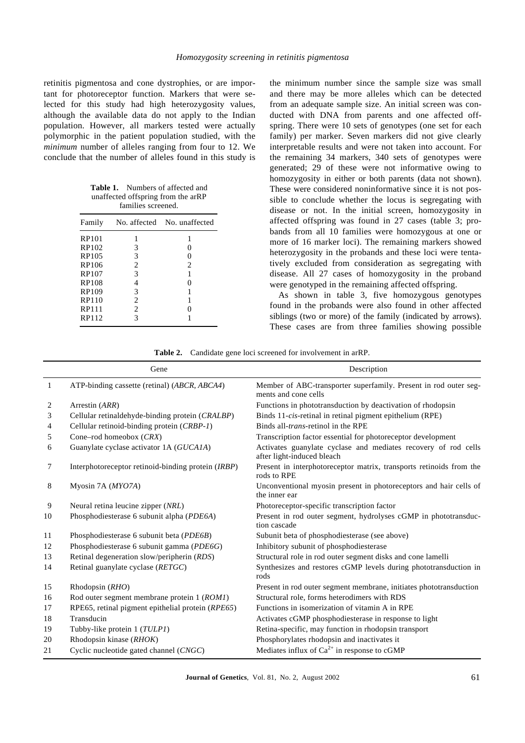retinitis pigmentosa and cone dystrophies, or are important for photoreceptor function. Markers that were selected for this study had high heterozygosity values, although the available data do not apply to the Indian population. However, all markers tested were actually polymorphic in the patient population studied, with the *minimum* number of alleles ranging from four to 12. We conclude that the number of alleles found in this study is

**Table 1.** Numbers of affected and unaffected offspring from the arRP families screened.

| Family       |   | No. affected No. unaffected |
|--------------|---|-----------------------------|
| RP101        |   | 1                           |
| RP102        | 3 | $\theta$                    |
| RP105        | 3 | 0                           |
| RP106        | 2 | $\overline{c}$              |
| <b>RP107</b> | 3 | 1                           |
| <b>RP108</b> | 4 | 0                           |
| RP109        | 3 | 1                           |
| <b>RP110</b> | 2 | 1                           |
| RP111        | 2 | 0                           |
| RP112        | 3 |                             |
|              |   |                             |

the minimum number since the sample size was small and there may be more alleles which can be detected from an adequate sample size. An initial screen was conducted with DNA from parents and one affected offspring. There were 10 sets of genotypes (one set for each family) per marker. Seven markers did not give clearly interpretable results and were not taken into account. For the remaining 34 markers, 340 sets of genotypes were generated; 29 of these were not informative owing to homozygosity in either or both parents (data not shown). These were considered noninformative since it is not possible to conclude whether the locus is segregating with disease or not. In the initial screen, homozygosity in affected offspring was found in 27 cases (table 3; probands from all 10 families were homozygous at one or more of 16 marker loci). The remaining markers showed heterozygosity in the probands and these loci were tentatively excluded from consideration as segregating with disease. All 27 cases of homozygosity in the proband were genotyped in the remaining affected offspring.

As shown in table 3, five homozygous genotypes found in the probands were also found in other affected siblings (two or more) of the family (indicated by arrows). These cases are from three families showing possible

**Table 2.** Candidate gene loci screened for involvement in arRP.

|    | Gene                                               | Description                                                                                  |
|----|----------------------------------------------------|----------------------------------------------------------------------------------------------|
| -1 | ATP-binding cassette (retinal) (ABCR, ABCA4)       | Member of ABC-transporter superfamily. Present in rod outer seg-<br>ments and cone cells     |
| 2  | Arrestin (ARR)                                     | Functions in phototransduction by deactivation of rhodopsin                                  |
| 3  | Cellular retinaldehyde-binding protein (CRALBP)    | Binds 11-cis-retinal in retinal pigment epithelium (RPE)                                     |
| 4  | Cellular retinoid-binding protein (CRBP-1)         | Binds all- <i>trans</i> -retinol in the RPE                                                  |
| 5  | Cone-rod homeobox (CRX)                            | Transcription factor essential for photoreceptor development                                 |
| 6  | Guanylate cyclase activator 1A (GUCAIA)            | Activates guanylate cyclase and mediates recovery of rod cells<br>after light-induced bleach |
| 7  | Interphotoreceptor retinoid-binding protein (IRBP) | Present in interphotoreceptor matrix, transports retinoids from the<br>rods to RPE           |
| 8  | Myosin 7A (MYO7A)                                  | Unconventional myosin present in photoreceptors and hair cells of<br>the inner ear           |
| 9  | Neural retina leucine zipper (NRL)                 | Photoreceptor-specific transcription factor                                                  |
| 10 | Phosphodiesterase 6 subunit alpha (PDE6A)          | Present in rod outer segment, hydrolyses cGMP in phototransduc-<br>tion cascade              |
| 11 | Phosphodiesterase 6 subunit beta (PDE6B)           | Subunit beta of phosphodiesterase (see above)                                                |
| 12 | Phosphodiesterase 6 subunit gamma (PDE6G)          | Inhibitory subunit of phosphodiesterase                                                      |
| 13 | Retinal degeneration slow/peripherin (RDS)         | Structural role in rod outer segment disks and cone lamelli                                  |
| 14 | Retinal guanylate cyclase (RETGC)                  | Synthesizes and restores cGMP levels during phototransduction in<br>rods                     |
| 15 | Rhodopsin $(RHO)$                                  | Present in rod outer segment membrane, initiates phototransduction                           |
| 16 | Rod outer segment membrane protein 1 (ROM1)        | Structural role, forms heterodimers with RDS                                                 |
| 17 | RPE65, retinal pigment epithelial protein (RPE65)  | Functions in isomerization of vitamin A in RPE                                               |
| 18 | Transducin                                         | Activates cGMP phosphodiesterase in response to light                                        |
| 19 | Tubby-like protein 1 (TULP1)                       | Retina-specific, may function in rhodopsin transport                                         |
| 20 | Rhodopsin kinase (RHOK)                            | Phosphorylates rhodopsin and inactivates it                                                  |
| 21 | Cyclic nucleotide gated channel (CNGC)             | Mediates influx of $Ca^{2+}$ in response to cGMP                                             |
|    |                                                    |                                                                                              |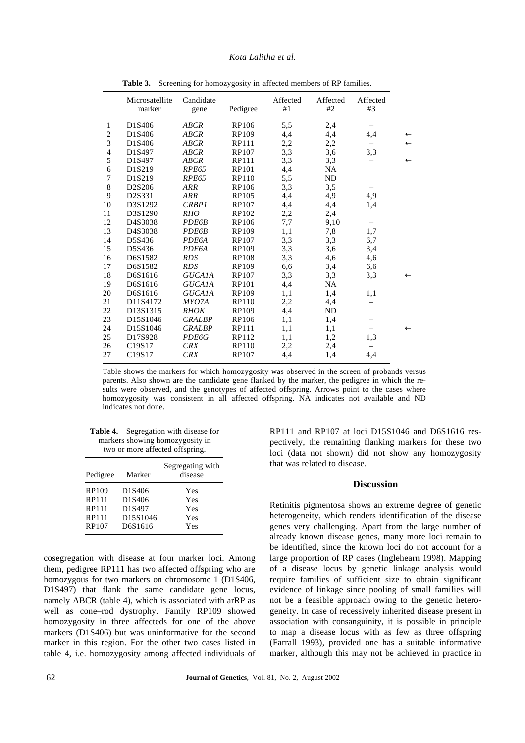|                | Microsatellite<br>marker        | Candidate<br>gene | Pedigree     | Affected<br>#1 | Affected<br>#2 | Affected<br>#3 |              |
|----------------|---------------------------------|-------------------|--------------|----------------|----------------|----------------|--------------|
| 1              | D1S406                          | ABCR              | RP106        | 5,5            | 2,4            |                |              |
| $\overline{c}$ | D1S406                          | <b>ABCR</b>       | RP109        | 4,4            | 4,4            | 4,4            | $\leftarrow$ |
| 3              | D1S406                          | ABCR              | RP111        | 2,2            | 2,2            |                | $\leftarrow$ |
| 4              | D1S497                          | <b>ABCR</b>       | <b>RP107</b> | 3,3            | 3,6            | 3,3            |              |
| 5              | D1S497                          | <b>ABCR</b>       | <b>RP111</b> | 3,3            | 3,3            |                | $\leftarrow$ |
| 6              | D1S219                          | RPE65             | <b>RP101</b> | 4,4            | NA             |                |              |
| $\overline{7}$ | D1S219                          | RPE65             | RP110        | 5,5            | ND             |                |              |
| 8              | D2S206                          | <b>ARR</b>        | <b>RP106</b> | 3,3            | 3,5            |                |              |
| 9              | D2S331                          | <b>ARR</b>        | RP105        | 4,4            | 4,9            | 4,9            |              |
| 10             | D3S1292                         | <b>CRBP1</b>      | <b>RP107</b> | 4,4            | 4,4            | 1,4            |              |
| 11             | D3S1290                         | <b>RHO</b>        | RP102        | 2,2            | 2,4            |                |              |
| 12             | D4S3038                         | <b>PDE6B</b>      | <b>RP106</b> | 7,7            | 9,10           |                |              |
| 13             | D4S3038                         | PDE6B             | <b>RP109</b> | 1,1            | 7,8            | 1,7            |              |
| 14             | D5S436                          | PDE6A             | <b>RP107</b> | 3,3            | 3,3            | 6,7            |              |
| 15             | D5S436                          | PDE6A             | RP109        | 3,3            | 3,6            | 3,4            |              |
| 16             | D6S1582                         | <b>RDS</b>        | <b>RP108</b> | 3,3            | 4,6            | 4,6            |              |
| 17             | D6S1582                         | <b>RDS</b>        | <b>RP109</b> | 6,6            | 3,4            | 6,6            |              |
| 18             | D6S1616                         | <b>GUCA1A</b>     | RP107        | 3,3            | 3,3            | 3,3            | $\leftarrow$ |
| 19             | D6S1616                         | <b>GUCA1A</b>     | <b>RP101</b> | 4,4            | <b>NA</b>      |                |              |
| 20             | D6S1616                         | <b>GUCA1A</b>     | RP109        | 1,1            | 1,4            | 1,1            |              |
| 21             | D11S4172                        | MYO7A             | <b>RP110</b> | 2,2            | 4,4            |                |              |
| 22             | D13S1315                        | <b>RHOK</b>       | RP109        | 4,4            | ND             |                |              |
| 23             | D15S1046                        | <b>CRALBP</b>     | RP106        | 1,1            | 1,4            |                |              |
| 24             | D15S1046                        | <b>CRALBP</b>     | RP111        | 1,1            | 1,1            |                | $\leftarrow$ |
| 25             | D17S928                         | <b>PDE6G</b>      | RP112        | 1,1            | 1,2            | 1,3            |              |
| 26             | C <sub>19</sub> S <sub>17</sub> | <b>CRX</b>        | RP110        | 2,2            | 2,4            |                |              |
| 27             | C <sub>19</sub> S <sub>17</sub> | <b>CRX</b>        | <b>RP107</b> | 4,4            | 1,4            | 4,4            |              |

Table 3. Screening for homozygosity in affected members of RP families.

Table shows the markers for which homozygosity was observed in the screen of probands versus parents. Also shown are the candidate gene flanked by the marker, the pedigree in which the results were observed, and the genotypes of affected offspring. Arrows point to the cases where homozygosity was consistent in all affected offspring. NA indicates not available and ND indicates not done.

| <b>Table 4.</b> Segregation with disease for |
|----------------------------------------------|
| markers showing homozygosity in              |
| two or more affected offspring.              |

| Pedigree                                  | Marker                                            | Segregating with<br>disease     |
|-------------------------------------------|---------------------------------------------------|---------------------------------|
| RP109<br>RP111<br>RP111<br>RP111<br>RP107 | D1S406<br>D1S406<br>D1S497<br>D15S1046<br>D6S1616 | Yes<br>Yes<br>Yes<br>Yes<br>Yes |

cosegregation with disease at four marker loci. Among them, pedigree RP111 has two affected offspring who are homozygous for two markers on chromosome 1 (D1S406, D1S497) that flank the same candidate gene locus, namely ABCR (table 4), which is associated with arRP as well as cone–rod dystrophy. Family RP109 showed homozygosity in three affecteds for one of the above markers (D1S406) but was uninformative for the second marker in this region. For the other two cases listed in table 4, i.e. homozygosity among affected individuals of RP111 and RP107 at loci D15S1046 and D6S1616 respectively, the remaining flanking markers for these two loci (data not shown) did not show any homozygosity that was related to disease.

#### **Discussion**

Retinitis pigmentosa shows an extreme degree of genetic heterogeneity, which renders identification of the disease genes very challenging. Apart from the large number of already known disease genes, many more loci remain to be identified, since the known loci do not account for a large proportion of RP cases (Inglehearn 1998). Mapping of a disease locus by genetic linkage analysis would require families of sufficient size to obtain significant evidence of linkage since pooling of small families will not be a feasible approach owing to the genetic heterogeneity. In case of recessively inherited disease present in association with consanguinity, it is possible in principle to map a disease locus with as few as three offspring (Farrall 1993), provided one has a suitable informative marker, although this may not be achieved in practice in